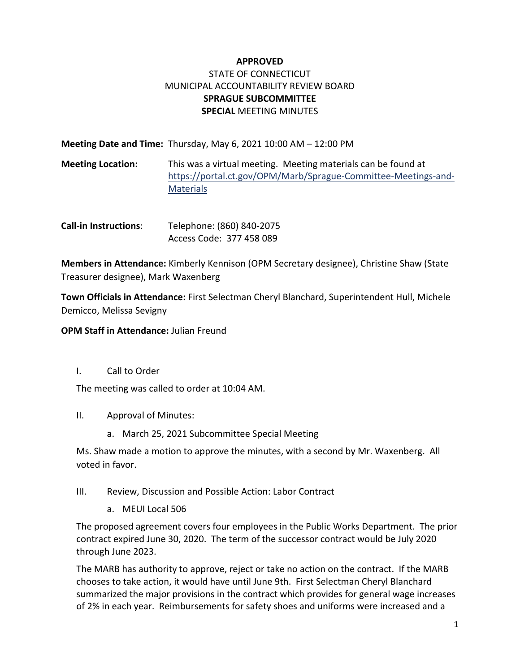## **APPROVED** STATE OF CONNECTICUT MUNICIPAL ACCOUNTABILITY REVIEW BOARD **SPRAGUE SUBCOMMITTEE SPECIAL** MEETING MINUTES

| Meeting Date and Time: Thursday, May 6, 2021 10:00 AM $-$ 12:00 PM |  |
|--------------------------------------------------------------------|--|
|--------------------------------------------------------------------|--|

- **Meeting Location:** This was a virtual meeting. Meeting materials can be found at [https://portal.ct.gov/OPM/Marb/Sprague-Committee-Meetings-and-](https://portal.ct.gov/OPM/Marb/Sprague-Committee-Meetings-and-Materials)**[Materials](https://portal.ct.gov/OPM/Marb/Sprague-Committee-Meetings-and-Materials)**
- **Call-in Instructions**: Telephone: (860) 840-2075 Access Code: 377 458 089

**Members in Attendance:** Kimberly Kennison (OPM Secretary designee), Christine Shaw (State Treasurer designee), Mark Waxenberg

**Town Officials in Attendance:** First Selectman Cheryl Blanchard, Superintendent Hull, Michele Demicco, Melissa Sevigny

**OPM Staff in Attendance:** Julian Freund

I. Call to Order

The meeting was called to order at 10:04 AM.

- II. Approval of Minutes:
	- a. March 25, 2021 Subcommittee Special Meeting

Ms. Shaw made a motion to approve the minutes, with a second by Mr. Waxenberg. All voted in favor.

- III. Review, Discussion and Possible Action: Labor Contract
	- a. MEUI Local 506

The proposed agreement covers four employees in the Public Works Department. The prior contract expired June 30, 2020. The term of the successor contract would be July 2020 through June 2023.

The MARB has authority to approve, reject or take no action on the contract. If the MARB chooses to take action, it would have until June 9th. First Selectman Cheryl Blanchard summarized the major provisions in the contract which provides for general wage increases of 2% in each year. Reimbursements for safety shoes and uniforms were increased and a